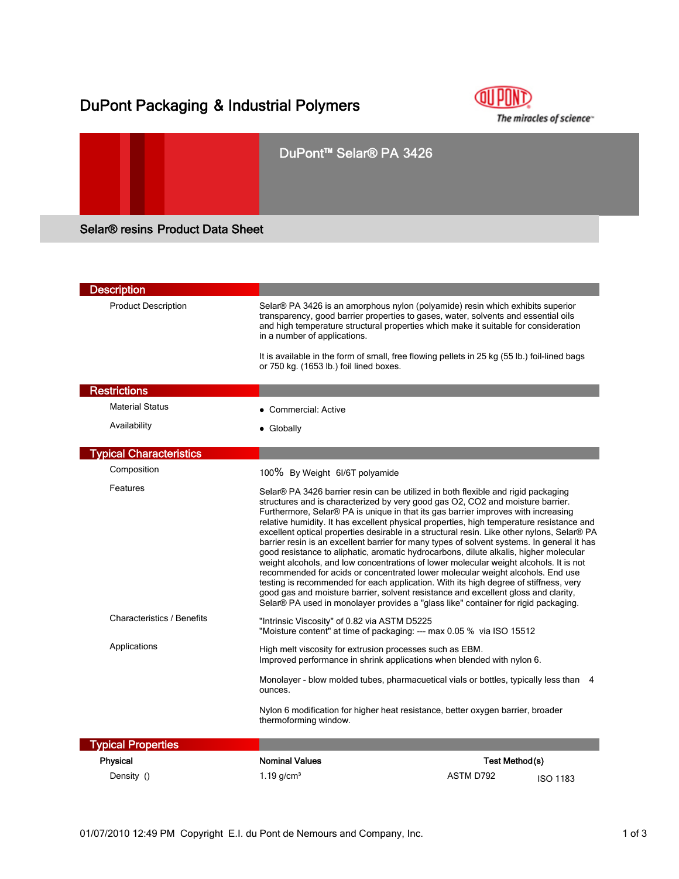## DuPont Packaging & Industrial Polymers



# DuPont™ Selar® PA 3426 Selar® resins Product Data Sheet

| <b>Description</b>                |                                                                                                                                                                                                                                                                                                                                                                                                                                                                                                                                                                                                                                                                                                                                                                                                                                                                                                                                                                                                                                                                                          |                              |
|-----------------------------------|------------------------------------------------------------------------------------------------------------------------------------------------------------------------------------------------------------------------------------------------------------------------------------------------------------------------------------------------------------------------------------------------------------------------------------------------------------------------------------------------------------------------------------------------------------------------------------------------------------------------------------------------------------------------------------------------------------------------------------------------------------------------------------------------------------------------------------------------------------------------------------------------------------------------------------------------------------------------------------------------------------------------------------------------------------------------------------------|------------------------------|
| <b>Product Description</b>        | Selar® PA 3426 is an amorphous nylon (polyamide) resin which exhibits superior<br>transparency, good barrier properties to gases, water, solvents and essential oils<br>and high temperature structural properties which make it suitable for consideration<br>in a number of applications.                                                                                                                                                                                                                                                                                                                                                                                                                                                                                                                                                                                                                                                                                                                                                                                              |                              |
|                                   | It is available in the form of small, free flowing pellets in 25 kg (55 lb.) foil-lined bags<br>or 750 kg. (1653 lb.) foil lined boxes.                                                                                                                                                                                                                                                                                                                                                                                                                                                                                                                                                                                                                                                                                                                                                                                                                                                                                                                                                  |                              |
| <b>Restrictions</b>               |                                                                                                                                                                                                                                                                                                                                                                                                                                                                                                                                                                                                                                                                                                                                                                                                                                                                                                                                                                                                                                                                                          |                              |
| <b>Material Status</b>            | • Commercial: Active                                                                                                                                                                                                                                                                                                                                                                                                                                                                                                                                                                                                                                                                                                                                                                                                                                                                                                                                                                                                                                                                     |                              |
| Availability                      | • Globally                                                                                                                                                                                                                                                                                                                                                                                                                                                                                                                                                                                                                                                                                                                                                                                                                                                                                                                                                                                                                                                                               |                              |
| <b>Typical Characteristics</b>    |                                                                                                                                                                                                                                                                                                                                                                                                                                                                                                                                                                                                                                                                                                                                                                                                                                                                                                                                                                                                                                                                                          |                              |
| Composition                       | 100% By Weight 6I/6T polyamide                                                                                                                                                                                                                                                                                                                                                                                                                                                                                                                                                                                                                                                                                                                                                                                                                                                                                                                                                                                                                                                           |                              |
| Features                          | Selar® PA 3426 barrier resin can be utilized in both flexible and rigid packaging<br>structures and is characterized by very good gas O2, CO2 and moisture barrier.<br>Furthermore, Selar® PA is unique in that its gas barrier improves with increasing<br>relative humidity. It has excellent physical properties, high temperature resistance and<br>excellent optical properties desirable in a structural resin. Like other nylons, Selar® PA<br>barrier resin is an excellent barrier for many types of solvent systems. In general it has<br>good resistance to aliphatic, aromatic hydrocarbons, dilute alkalis, higher molecular<br>weight alcohols, and low concentrations of lower molecular weight alcohols. It is not<br>recommended for acids or concentrated lower molecular weight alcohols. End use<br>testing is recommended for each application. With its high degree of stiffness, very<br>good gas and moisture barrier, solvent resistance and excellent gloss and clarity,<br>Selar® PA used in monolayer provides a "glass like" container for rigid packaging. |                              |
| <b>Characteristics / Benefits</b> | "Intrinsic Viscosity" of 0.82 via ASTM D5225<br>"Moisture content" at time of packaging: --- max 0.05 % via ISO 15512                                                                                                                                                                                                                                                                                                                                                                                                                                                                                                                                                                                                                                                                                                                                                                                                                                                                                                                                                                    |                              |
| Applications                      | High melt viscosity for extrusion processes such as EBM.<br>Improved performance in shrink applications when blended with nylon 6.                                                                                                                                                                                                                                                                                                                                                                                                                                                                                                                                                                                                                                                                                                                                                                                                                                                                                                                                                       |                              |
|                                   | Monolayer - blow molded tubes, pharmacuetical vials or bottles, typically less than 4<br>ounces.                                                                                                                                                                                                                                                                                                                                                                                                                                                                                                                                                                                                                                                                                                                                                                                                                                                                                                                                                                                         |                              |
|                                   | Nylon 6 modification for higher heat resistance, better oxygen barrier, broader<br>thermoforming window.                                                                                                                                                                                                                                                                                                                                                                                                                                                                                                                                                                                                                                                                                                                                                                                                                                                                                                                                                                                 |                              |
| <b>Typical Properties</b>         |                                                                                                                                                                                                                                                                                                                                                                                                                                                                                                                                                                                                                                                                                                                                                                                                                                                                                                                                                                                                                                                                                          |                              |
| Physical                          | <b>Nominal Values</b>                                                                                                                                                                                                                                                                                                                                                                                                                                                                                                                                                                                                                                                                                                                                                                                                                                                                                                                                                                                                                                                                    | Test Method(s)               |
| Density ()                        | 1.19 $q/cm3$                                                                                                                                                                                                                                                                                                                                                                                                                                                                                                                                                                                                                                                                                                                                                                                                                                                                                                                                                                                                                                                                             | ASTM D792<br><b>ISO 1183</b> |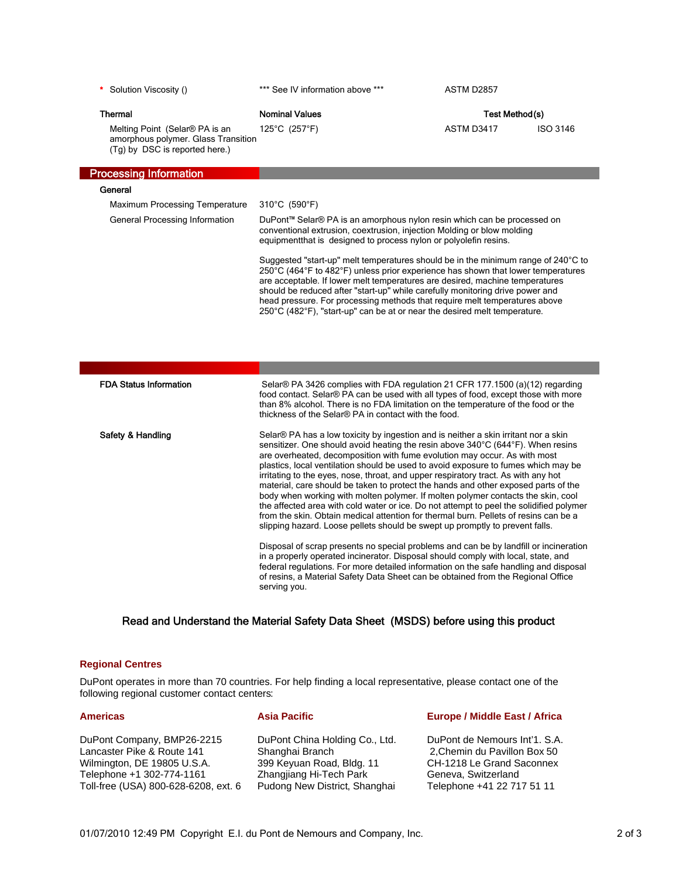\* Solution Viscosity () \*\*\* See IV information above \*\*\* ASTM D2857

| <b>Thermal</b>                                                                                          | <b>Nominal Values</b> | Test Method(s) |          |
|---------------------------------------------------------------------------------------------------------|-----------------------|----------------|----------|
| Melting Point (Selar® PA is an<br>amorphous polymer. Glass Transition<br>(Tg) by DSC is reported here.) | 125°C (257°F)         | ASTM D3417     | ISO 3146 |

## Processing Information

| General                        |                                                                                                                                                                                                                                                                                                                                                                                                                                                                                                                                                      |
|--------------------------------|------------------------------------------------------------------------------------------------------------------------------------------------------------------------------------------------------------------------------------------------------------------------------------------------------------------------------------------------------------------------------------------------------------------------------------------------------------------------------------------------------------------------------------------------------|
| Maximum Processing Temperature | 310°C (590°F)                                                                                                                                                                                                                                                                                                                                                                                                                                                                                                                                        |
| General Processing Information | DuPont™ Selar® PA is an amorphous nylon resin which can be processed on<br>conventional extrusion, coextrusion, injection Molding or blow molding<br>equipment that is designed to process nylon or polyolefin resins.                                                                                                                                                                                                                                                                                                                               |
|                                | Suggested "start-up" melt temperatures should be in the minimum range of 240°C to<br>250 $\degree$ C (464 $\degree$ F to 482 $\degree$ F) unless prior experience has shown that lower temperatures<br>are acceptable. If lower melt temperatures are desired, machine temperatures<br>should be reduced after "start-up" while carefully monitoring drive power and<br>head pressure. For processing methods that require melt temperatures above<br>$250^{\circ}$ C (482 $^{\circ}$ F), "start-up" can be at or near the desired melt temperature. |

| <b>FDA Status Information</b> | Selar® PA 3426 complies with FDA regulation 21 CFR 177.1500 (a)(12) regarding<br>food contact. Selar® PA can be used with all types of food, except those with more<br>than 8% alcohol. There is no FDA limitation on the temperature of the food or the<br>thickness of the Selar® PA in contact with the food.                                                                                                                                                                                                                                                                                                                                                                                                                                                                                                                                                                                                                                                                                                                                           |
|-------------------------------|------------------------------------------------------------------------------------------------------------------------------------------------------------------------------------------------------------------------------------------------------------------------------------------------------------------------------------------------------------------------------------------------------------------------------------------------------------------------------------------------------------------------------------------------------------------------------------------------------------------------------------------------------------------------------------------------------------------------------------------------------------------------------------------------------------------------------------------------------------------------------------------------------------------------------------------------------------------------------------------------------------------------------------------------------------|
| Safety & Handling             | Selar® PA has a low toxicity by ingestion and is neither a skin irritant nor a skin<br>sensitizer. One should avoid heating the resin above 340°C (644°F). When resins<br>are overheated, decomposition with fume evolution may occur. As with most<br>plastics, local ventilation should be used to avoid exposure to fumes which may be<br>irritating to the eyes, nose, throat, and upper respiratory tract. As with any hot<br>material, care should be taken to protect the hands and other exposed parts of the<br>body when working with molten polymer. If molten polymer contacts the skin, cool<br>the affected area with cold water or ice. Do not attempt to peel the solidified polymer<br>from the skin. Obtain medical attention for thermal burn. Pellets of resins can be a<br>slipping hazard. Loose pellets should be swept up promptly to prevent falls.<br>Disposal of scrap presents no special problems and can be by landfill or incineration<br>in a properly operated incinerator. Disposal should comply with local, state, and |
|                               | federal regulations. For more detailed information on the safe handling and disposal<br>of resins, a Material Safety Data Sheet can be obtained from the Regional Office<br>serving you.                                                                                                                                                                                                                                                                                                                                                                                                                                                                                                                                                                                                                                                                                                                                                                                                                                                                   |

### Read and Understand the Material Safety Data Sheet (MSDS) before using this product

#### **Regional Centres**

DuPont operates in more than 70 countries. For help finding a local representative, please contact one of the following regional customer contact centers:

DuPont Company, BMP26-2215 Lancaster Pike & Route 141 Wilmington, DE 19805 U.S.A. Telephone +1 302-774-1161 Toll-free (USA) 800-628-6208, ext. 6

DuPont China Holding Co., Ltd. Shanghai Branch 399 Keyuan Road, Bldg. 11 Zhangjiang Hi-Tech Park Pudong New District, Shanghai

#### **Americas Construction Asia Pacific Construction Construction Europe / Middle East / Africa**

DuPont de Nemours Int'1. S.A. 2,Chemin du Pavillon Box 50 CH-1218 Le Grand Saconnex Geneva, Switzerland Telephone +41 22 717 51 11